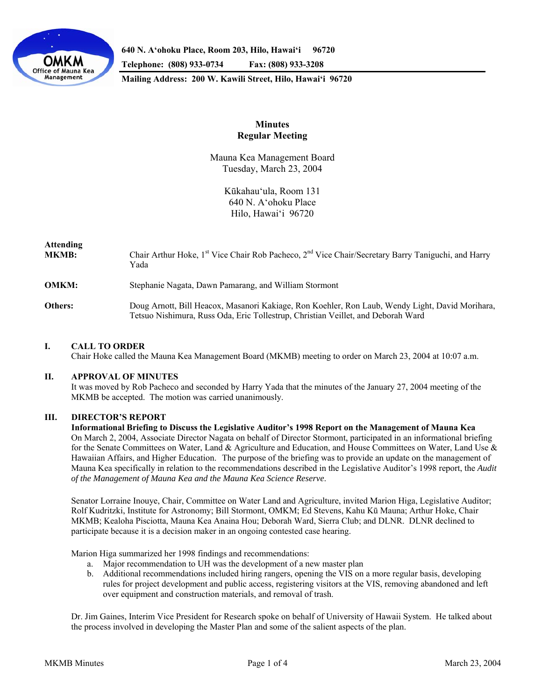

**640 N. A'ohoku Place, Room 203, Hilo, Hawai'i 96720** 

**Telephone: (808) 933-0734 Fax: (808) 933-3208** 

**Mailing Address: 200 W. Kawili Street, Hilo, Hawai'i 96720** 

# **Minutes Regular Meeting**

Mauna Kea Management Board Tuesday, March 23, 2004

> Kūkahau'ula, Room 131 640 N. A'ohoku Place Hilo, Hawai'i 96720

# **Attending**  MKMB: Chair Arthur Hoke, 1<sup>st</sup> Vice Chair Rob Pacheco, 2<sup>nd</sup> Vice Chair/Secretary Barry Taniguchi, and Harry Yada **OMKM:** Stephanie Nagata, Dawn Pamarang, and William Stormont **Others:** Doug Arnott, Bill Heacox, Masanori Kakiage, Ron Koehler, Ron Laub, Wendy Light, David Morihara, Tetsuo Nishimura, Russ Oda, Eric Tollestrup, Christian Veillet, and Deborah Ward

### **I. CALL TO ORDER**

Chair Hoke called the Mauna Kea Management Board (MKMB) meeting to order on March 23, 2004 at 10:07 a.m.

### **II. APPROVAL OF MINUTES**

 It was moved by Rob Pacheco and seconded by Harry Yada that the minutes of the January 27, 2004 meeting of the MKMB be accepted. The motion was carried unanimously.

### **III. DIRECTOR'S REPORT**

 **Informational Briefing to Discuss the Legislative Auditor's 1998 Report on the Management of Mauna Kea**  On March 2, 2004, Associate Director Nagata on behalf of Director Stormont, participated in an informational briefing for the Senate Committees on Water, Land & Agriculture and Education, and House Committees on Water, Land Use & Hawaiian Affairs, and Higher Education. The purpose of the briefing was to provide an update on the management of Mauna Kea specifically in relation to the recommendations described in the Legislative Auditor's 1998 report, the *Audit of the Management of Mauna Kea and the Mauna Kea Science Reserve*.

Senator Lorraine Inouye, Chair, Committee on Water Land and Agriculture, invited Marion Higa, Legislative Auditor; Rolf Kudritzki, Institute for Astronomy; Bill Stormont, OMKM; Ed Stevens, Kahu Kū Mauna; Arthur Hoke, Chair MKMB; Kealoha Pisciotta, Mauna Kea Anaina Hou; Deborah Ward, Sierra Club; and DLNR. DLNR declined to participate because it is a decision maker in an ongoing contested case hearing.

Marion Higa summarized her 1998 findings and recommendations:

- a. Major recommendation to UH was the development of a new master plan
- b. Additional recommendations included hiring rangers, opening the VIS on a more regular basis, developing rules for project development and public access, registering visitors at the VIS, removing abandoned and left over equipment and construction materials, and removal of trash.

 Dr. Jim Gaines, Interim Vice President for Research spoke on behalf of University of Hawaii System. He talked about the process involved in developing the Master Plan and some of the salient aspects of the plan.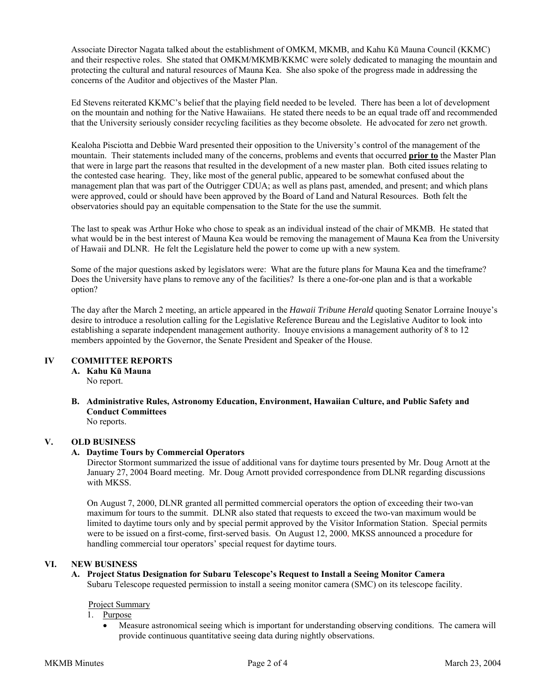Associate Director Nagata talked about the establishment of OMKM, MKMB, and Kahu Kū Mauna Council (KKMC) and their respective roles. She stated that OMKM/MKMB/KKMC were solely dedicated to managing the mountain and protecting the cultural and natural resources of Mauna Kea. She also spoke of the progress made in addressing the concerns of the Auditor and objectives of the Master Plan.

Ed Stevens reiterated KKMC's belief that the playing field needed to be leveled. There has been a lot of development on the mountain and nothing for the Native Hawaiians. He stated there needs to be an equal trade off and recommended that the University seriously consider recycling facilities as they become obsolete. He advocated for zero net growth.

Kealoha Pisciotta and Debbie Ward presented their opposition to the University's control of the management of the mountain. Their statements included many of the concerns, problems and events that occurred **prior to** the Master Plan that were in large part the reasons that resulted in the development of a new master plan. Both cited issues relating to the contested case hearing. They, like most of the general public, appeared to be somewhat confused about the management plan that was part of the Outrigger CDUA; as well as plans past, amended, and present; and which plans were approved, could or should have been approved by the Board of Land and Natural Resources. Both felt the observatories should pay an equitable compensation to the State for the use the summit.

The last to speak was Arthur Hoke who chose to speak as an individual instead of the chair of MKMB. He stated that what would be in the best interest of Mauna Kea would be removing the management of Mauna Kea from the University of Hawaii and DLNR. He felt the Legislature held the power to come up with a new system.

 Some of the major questions asked by legislators were: What are the future plans for Mauna Kea and the timeframe? Does the University have plans to remove any of the facilities? Is there a one-for-one plan and is that a workable option?

 The day after the March 2 meeting, an article appeared in the *Hawaii Tribune Herald* quoting Senator Lorraine Inouye's desire to introduce a resolution calling for the Legislative Reference Bureau and the Legislative Auditor to look into establishing a separate independent management authority. Inouye envisions a management authority of 8 to 12 members appointed by the Governor, the Senate President and Speaker of the House.

### **IV COMMITTEE REPORTS**

 **A. Kahu Kū Mauna** No report.

**B. Administrative Rules, Astronomy Education, Environment, Hawaiian Culture, and Public Safety and Conduct Committees** 

No reports.

## **V. OLD BUSINESS**

### **A. Daytime Tours by Commercial Operators**

Director Stormont summarized the issue of additional vans for daytime tours presented by Mr. Doug Arnott at the January 27, 2004 Board meeting. Mr. Doug Arnott provided correspondence from DLNR regarding discussions with MKSS.

On August 7, 2000, DLNR granted all permitted commercial operators the option of exceeding their two-van maximum for tours to the summit. DLNR also stated that requests to exceed the two-van maximum would be limited to daytime tours only and by special permit approved by the Visitor Information Station. Special permits were to be issued on a first-come, first-served basis. On August 12, 2000, MKSS announced a procedure for handling commercial tour operators' special request for daytime tours.

# **VI. NEW BUSINESS**

#### **A. Project Status Designation for Subaru Telescope's Request to Install a Seeing Monitor Camera**  Subaru Telescope requested permission to install a seeing monitor camera (SMC) on its telescope facility.

### Project Summary

1. Purpose

• Measure astronomical seeing which is important for understanding observing conditions. The camera will provide continuous quantitative seeing data during nightly observations.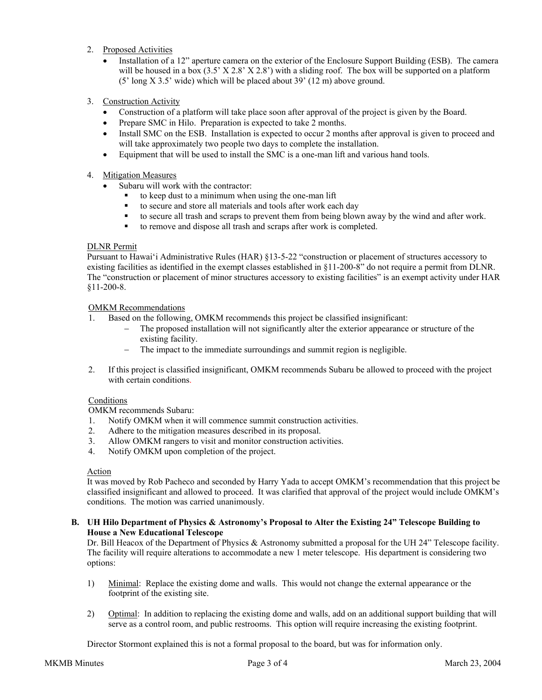- 2. Proposed Activities
	- Installation of a 12" aperture camera on the exterior of the Enclosure Support Building (ESB). The camera will be housed in a box  $(3.5' X 2.8' X 2.8')$  with a sliding roof. The box will be supported on a platform (5' long X 3.5' wide) which will be placed about 39' (12 m) above ground.
- 3. Construction Activity
	- Construction of a platform will take place soon after approval of the project is given by the Board.
	- Prepare SMC in Hilo. Preparation is expected to take 2 months.
	- Install SMC on the ESB. Installation is expected to occur 2 months after approval is given to proceed and will take approximately two people two days to complete the installation.
	- Equipment that will be used to install the SMC is a one-man lift and various hand tools.
- 4. Mitigation Measures
	- Subaru will work with the contractor:
		- to keep dust to a minimum when using the one-man lift
		- to secure and store all materials and tools after work each day
		- to secure all trash and scraps to prevent them from being blown away by the wind and after work.
		- to remove and dispose all trash and scraps after work is completed.

## DLNR Permit

Pursuant to Hawai'i Administrative Rules (HAR) §13-5-22 "construction or placement of structures accessory to existing facilities as identified in the exempt classes established in §11-200-8" do not require a permit from DLNR. The "construction or placement of minor structures accessory to existing facilities" is an exempt activity under HAR §11-200-8.

### OMKM Recommendations

- 1. Based on the following, OMKM recommends this project be classified insignificant:
	- The proposed installation will not significantly alter the exterior appearance or structure of the existing facility.
	- − The impact to the immediate surroundings and summit region is negligible.
- 2. If this project is classified insignificant, OMKM recommends Subaru be allowed to proceed with the project with certain conditions.

## **Conditions**

OMKM recommends Subaru:

- 1. Notify OMKM when it will commence summit construction activities.
- 2. Adhere to the mitigation measures described in its proposal.
- 3. Allow OMKM rangers to visit and monitor construction activities.
- 4. Notify OMKM upon completion of the project.

### Action

It was moved by Rob Pacheco and seconded by Harry Yada to accept OMKM's recommendation that this project be classified insignificant and allowed to proceed. It was clarified that approval of the project would include OMKM's conditions. The motion was carried unanimously.

### **B. UH Hilo Department of Physics & Astronomy's Proposal to Alter the Existing 24" Telescope Building to House a New Educational Telescope**

Dr. Bill Heacox of the Department of Physics & Astronomy submitted a proposal for the UH 24" Telescope facility. The facility will require alterations to accommodate a new 1 meter telescope. His department is considering two options:

- 1) Minimal: Replace the existing dome and walls. This would not change the external appearance or the footprint of the existing site.
- 2) Optimal: In addition to replacing the existing dome and walls, add on an additional support building that will serve as a control room, and public restrooms. This option will require increasing the existing footprint.

Director Stormont explained this is not a formal proposal to the board, but was for information only.